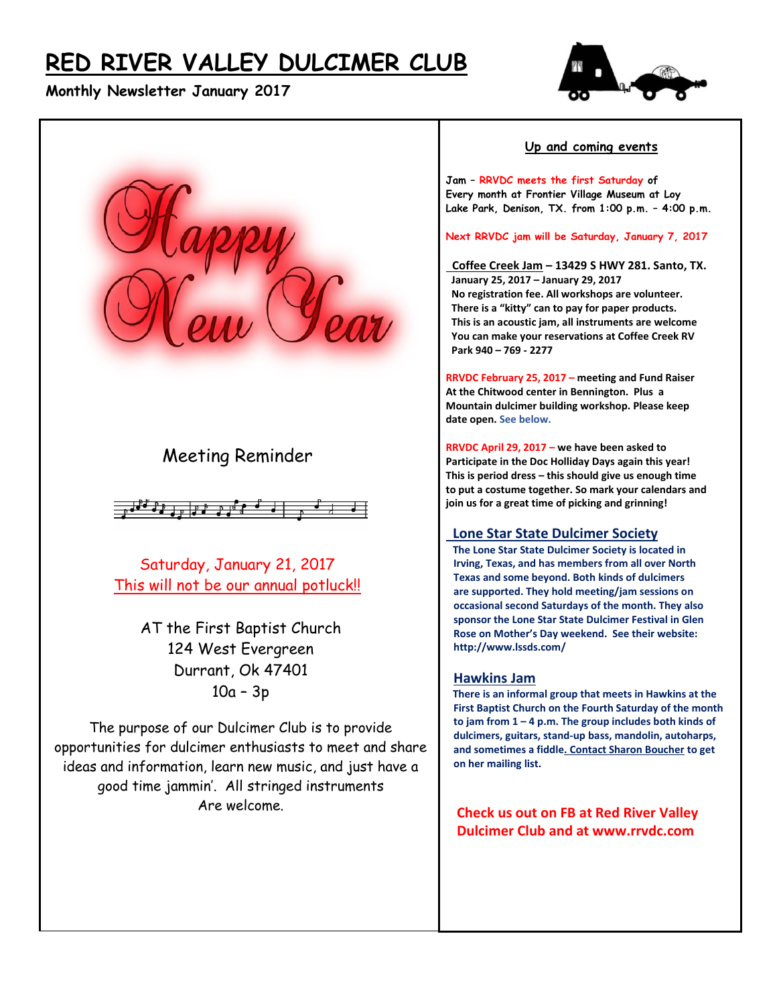# **RED RIVER VALLEY DULCIMER CLUB**

## **Monthly Newsletter January 2017**





# Meeting Reminder



Saturday, January 21, 2017 This will not be our annual potluck!!

> AT the First Baptist Church 124 West Evergreen Durrant, Ok 47401 10a – 3p

The purpose of our Dulcimer Club is to provide opportunities for dulcimer enthusiasts to meet and share ideas and information, learn new music, and just have a good time jammin'. All stringed instruments Are welcome.

#### **Up and coming events**

**Jam – RRVDC meets the first Saturday of Every month at Frontier Village Museum at Loy Lake Park, Denison, TX. from 1:00 p.m. – 4:00 p.m.**

**Next RRVDC jam will be Saturday, January 7, 2017**

 **Coffee Creek Jam – 13429 S HWY 281. Santo, TX. January 25, 2017 – January 29, 2017 No registration fee. All workshops are volunteer. There is a "kitty" can to pay for paper products. This is an acoustic jam, all instruments are welcome You can make your reservations at Coffee Creek RV Park 940 – 769 - 2277**

**RRVDC February 25, 2017 – meeting and Fund Raiser At the Chitwood center in Bennington. Plus a Mountain dulcimer building workshop. Please keep date open. See below.**

**RRVDC April 29, 2017 – we have been asked to Participate in the Doc Holliday Days again this year! This is period dress – this should give us enough time to put a costume together. So mark your calendars and join us for a great time of picking and grinning!**

#### **Lone Star State Dulcimer Society**

 **The Lone Star State Dulcimer Society is located in Irving, Texas, and has members from all over North Texas and some beyond. Both kinds of dulcimers are supported. They hold meeting/jam sessions on occasional second Saturdays of the month. They also sponsor the Lone Star State Dulcimer Festival in Glen Rose on Mother's Day weekend. See their website: http://www.lssds.com/** 

#### **Hawkins Jam**

 **There is an informal group that meets in Hawkins at the First Baptist Church on the Fourth Saturday of the month to jam from 1 – 4 p.m. The group includes both kinds of dulcimers, guitars, stand-up bass, mandolin, autoharps, and sometimes a fiddle. Contact Sharon Boucher to get on her mailing list.** 

 **Check us out on FB at Red River Valley Dulcimer Club and at www.rrvdc.com**